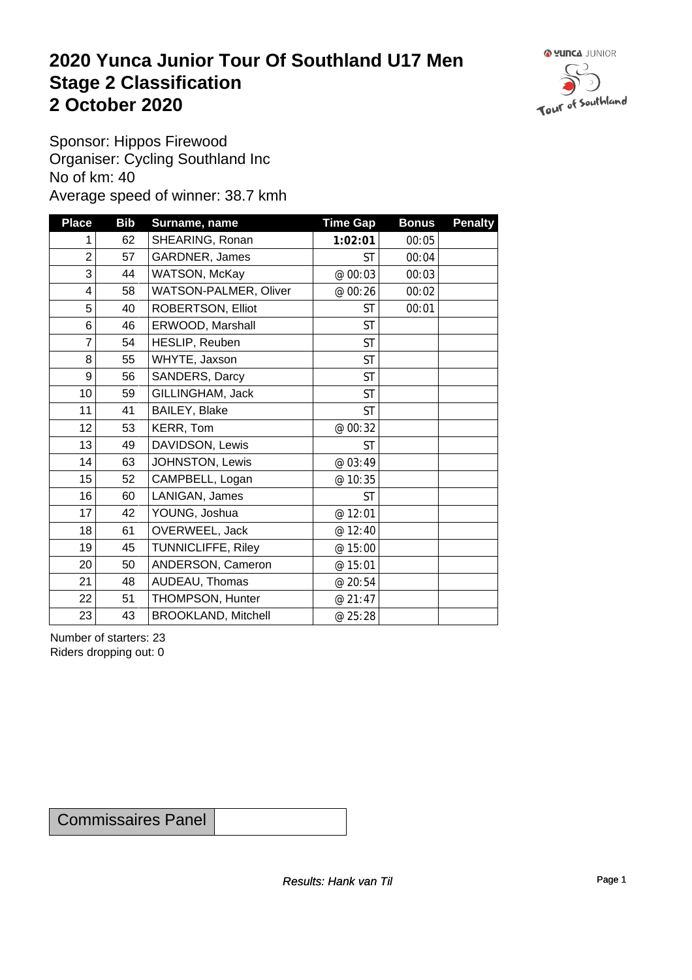### **2020 Yunca Junior Tour Of Southland U17 Men** Stage 2 Classification<br>
2 October 2020 **2 October 2020**



Sponsor: Hippos Firewood Organiser: Cycling Southland Inc No of km: 40 Average speed of winner: 38.7 kmh

| <b>Place</b>   | <b>Bib</b> | Surname, name              | <b>Time Gap</b> | <b>Bonus</b> | <b>Penalty</b> |
|----------------|------------|----------------------------|-----------------|--------------|----------------|
| 1              | 62         | SHEARING, Ronan            | 1:02:01         | 00:05        |                |
| $\overline{2}$ | 57         | GARDNER, James             | <b>ST</b>       | 00:04        |                |
| 3              | 44         | WATSON, McKay              | @ 00:03         | 00:03        |                |
| 4              | 58         | WATSON-PALMER, Oliver      | @ 00:26         | 00:02        |                |
| 5              | 40         | ROBERTSON, Elliot          | ST              | 00:01        |                |
| 6              | 46         | ERWOOD, Marshall           | <b>ST</b>       |              |                |
| $\overline{7}$ | 54         | HESLIP, Reuben             | <b>ST</b>       |              |                |
| 8              | 55         | WHYTE, Jaxson              | <b>ST</b>       |              |                |
| 9              | 56         | SANDERS, Darcy             | <b>ST</b>       |              |                |
| 10             | 59         | GILLINGHAM, Jack           | <b>ST</b>       |              |                |
| 11             | 41         | BAILEY, Blake              | <b>ST</b>       |              |                |
| 12             | 53         | KERR, Tom                  | @ 00:32         |              |                |
| 13             | 49         | DAVIDSON, Lewis            | <b>ST</b>       |              |                |
| 14             | 63         | JOHNSTON, Lewis            | @ 03:49         |              |                |
| 15             | 52         | CAMPBELL, Logan            | @ 10:35         |              |                |
| 16             | 60         | LANIGAN, James             | <b>ST</b>       |              |                |
| 17             | 42         | YOUNG, Joshua              | @ 12:01         |              |                |
| 18             | 61         | OVERWEEL, Jack             | @ 12:40         |              |                |
| 19             | 45         | TUNNICLIFFE, Riley         | @ 15:00         |              |                |
| 20             | 50         | ANDERSON, Cameron          | @ 15:01         |              |                |
| 21             | 48         | AUDEAU, Thomas             | @ 20:54         |              |                |
| 22             | 51         | THOMPSON, Hunter           | @ 21:47         |              |                |
| 23             | 43         | <b>BROOKLAND, Mitchell</b> | @ 25:28         |              |                |

Number of starters: 23 Riders dropping out: 0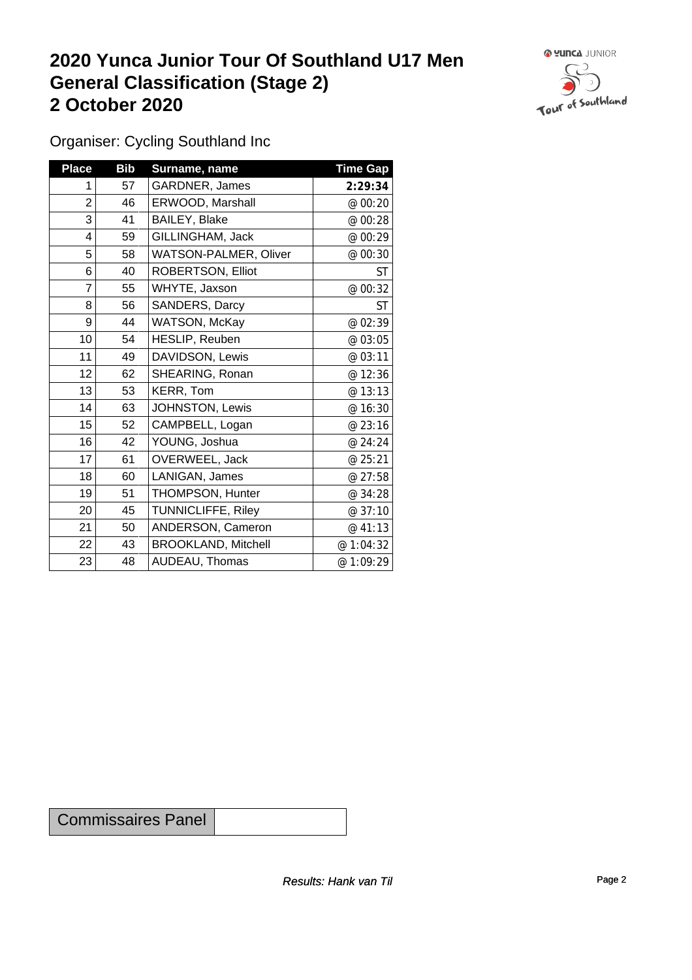## **2020 Yunca Junior Tour Of Southland U17 Men General Classification (Stage 2)**<br>
2 October 2020 **2 October 2020**



Organiser: Cycling Southland Inc

| <b>Place</b>   | <b>Bib</b> | Surname, name                | <b>Time Gap</b> |
|----------------|------------|------------------------------|-----------------|
| 1              | 57         | GARDNER, James               | 2:29:34         |
| $\overline{2}$ | 46         | ERWOOD, Marshall             | @ 00:20         |
| 3              | 41         | BAILEY, Blake                | @ 00:28         |
| 4              | 59         | GILLINGHAM, Jack             | @ 00:29         |
| 5              | 58         | <b>WATSON-PALMER, Oliver</b> | @ 00:30         |
| 6              | 40         | ROBERTSON, Elliot            | ST              |
| 7              | 55         | WHYTE, Jaxson                | @ 00:32         |
| 8              | 56         | <b>SANDERS, Darcy</b>        | <b>ST</b>       |
| 9              | 44         | <b>WATSON, McKay</b>         | @ 02:39         |
| 10             | 54         | HESLIP, Reuben               | @ 03:05         |
| 11             | 49         | DAVIDSON, Lewis              | @ 03:11         |
| 12             | 62         | SHEARING, Ronan              | @ 12:36         |
| 13             | 53         | KERR, Tom                    | @ 13:13         |
| 14             | 63         | JOHNSTON, Lewis              | @ 16:30         |
| 15             | 52         | CAMPBELL, Logan              | @ 23:16         |
| 16             | 42         | YOUNG, Joshua                | @ 24:24         |
| 17             | 61         | OVERWEEL, Jack               | @ 25:21         |
| 18             | 60         | LANIGAN, James               | @ 27:58         |
| 19             | 51         | THOMPSON, Hunter             | @ 34:28         |
| 20             | 45         | <b>TUNNICLIFFE, Riley</b>    | @ 37:10         |
| 21             | 50         | ANDERSON, Cameron            | @ 41:13         |
| 22             | 43         | <b>BROOKLAND, Mitchell</b>   | @ 1:04:32       |
| 23             | 48         | AUDEAU, Thomas               | @ 1:09:29       |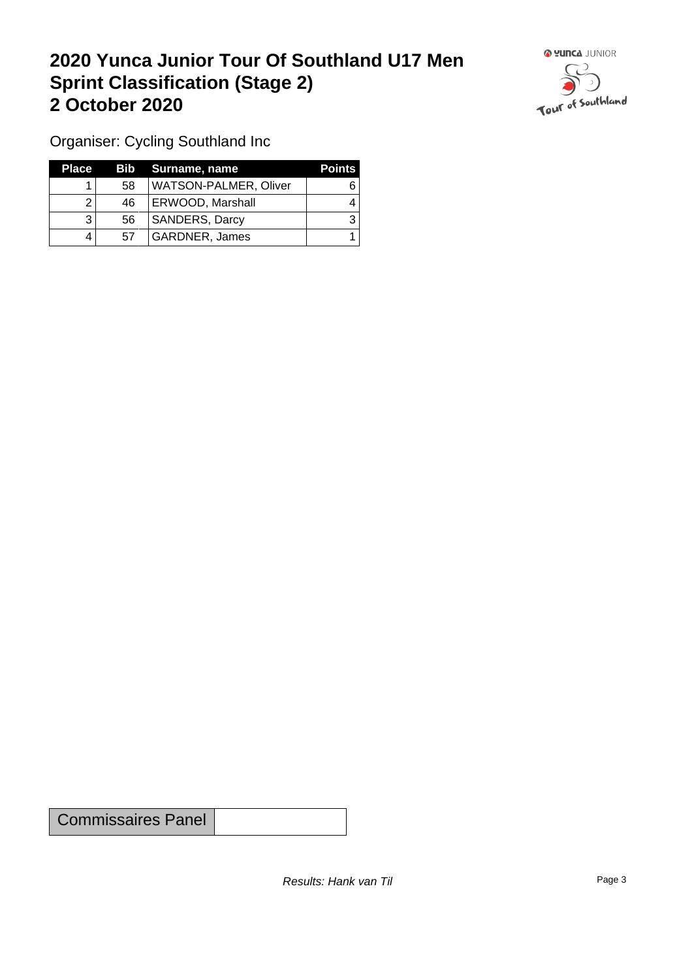## **2020 Yunca Junior Tour Of Southland U17 Men Sprint Classification (Stage 2) 2 October 2020**



Organiser: Cycling Southland Inc

| <b>Place</b> |    | Bib Surname, name            | <b>Points</b> |
|--------------|----|------------------------------|---------------|
|              | 58 | <b>WATSON-PALMER, Oliver</b> |               |
|              | 46 | <b>ERWOOD, Marshall</b>      |               |
|              | 56 | <b>SANDERS, Darcy</b>        |               |
|              | 57 | GARDNER, James               |               |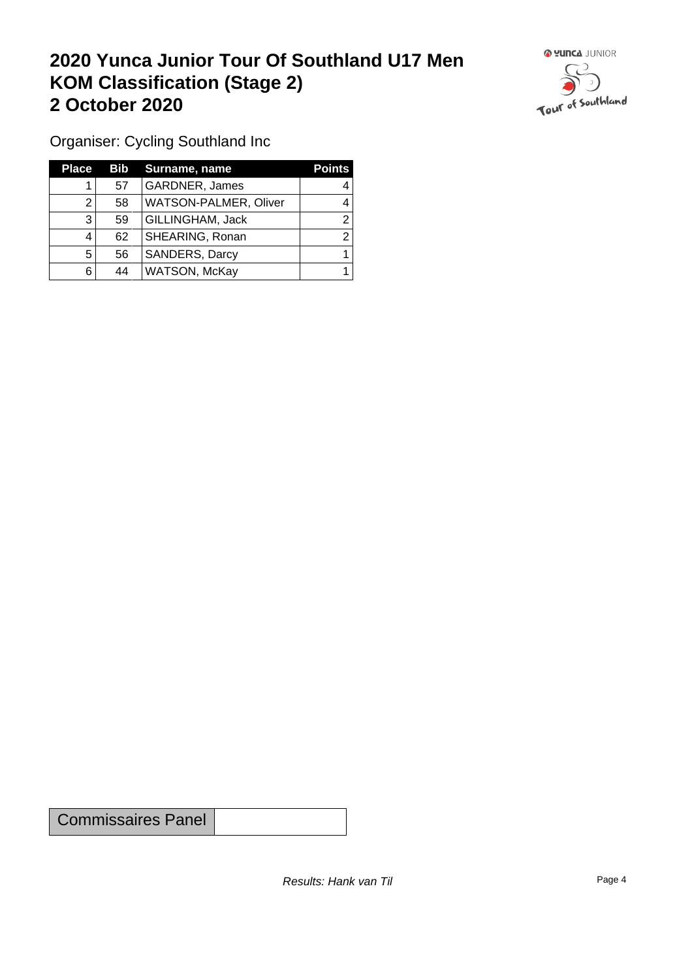## **2020 Yunca Junior Tour Of Southland U17 Men KOM Classification (Stage 2) 2 October 2020**



Organiser: Cycling Southland Inc

| <b>Place</b> |    | <b>Bib</b> Surname, name | <b>Points</b> |
|--------------|----|--------------------------|---------------|
|              | 57 | <b>GARDNER, James</b>    |               |
|              | 58 | WATSON-PALMER, Oliver    |               |
| 3            | 59 | GILLINGHAM, Jack         | ◠             |
|              | 62 | SHEARING, Ronan          | ົ             |
| 5            | 56 | <b>SANDERS, Darcy</b>    |               |
| 6            | 44 | WATSON, McKay            |               |